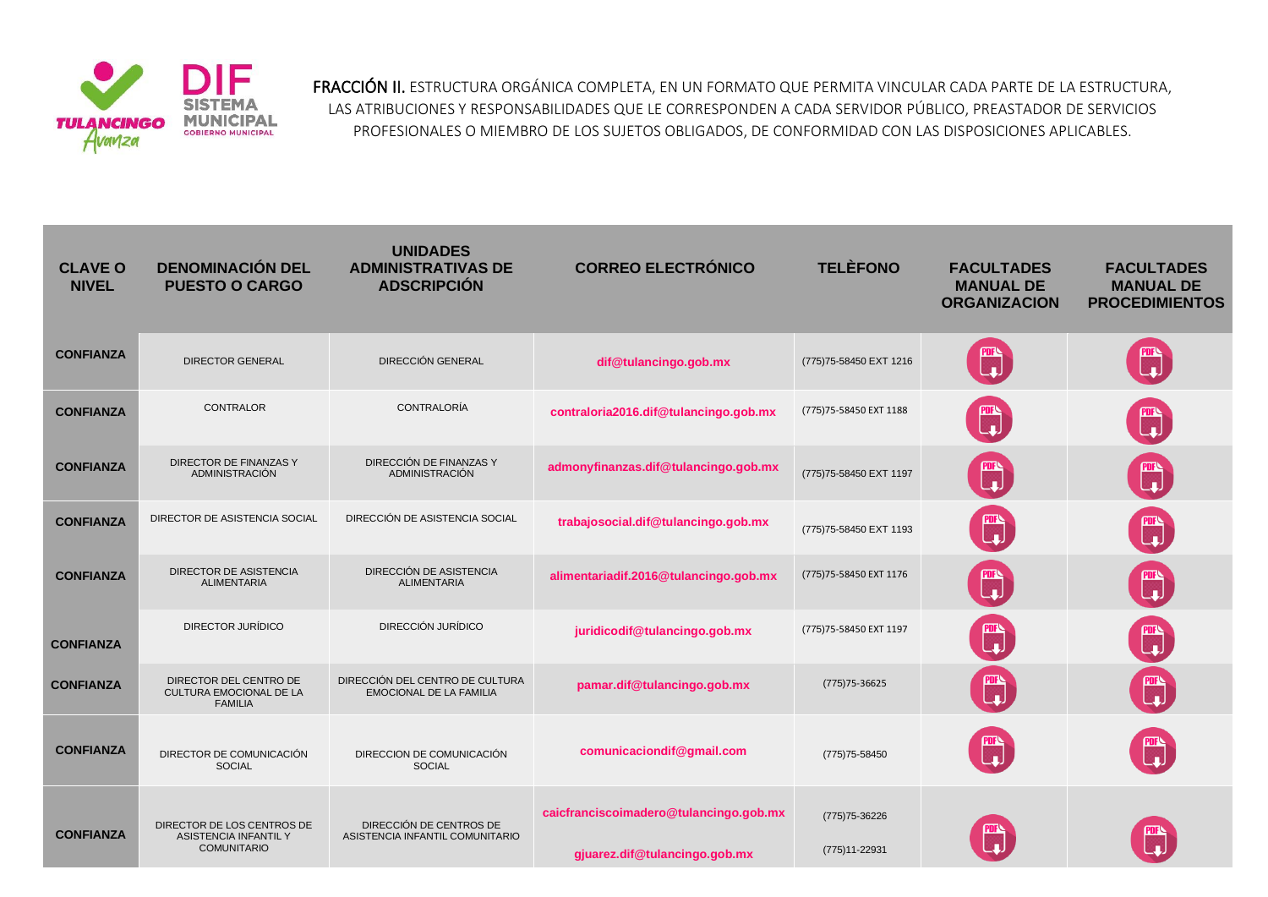

FRACCIÓN II. ESTRUCTURA ORGÁNICA COMPLETA, EN UN FORMATO QUE PERMITA VINCULAR CADA PARTE DE LA ESTRUCTURA, LAS ATRIBUCIONES Y RESPONSABILIDADES QUE LE CORRESPONDEN A CADA SERVIDOR PÚBLICO, PREASTADOR DE SERVICIOS PROFESIONALES O MIEMBRO DE LOS SUJETOS OBLIGADOS, DE CONFORMIDAD CON LAS DISPOSICIONES APLICABLES.

| <b>CLAVE O</b><br><b>NIVEL</b> | <b>DENOMINACIÓN DEL</b><br><b>PUESTO O CARGO</b>                          | <b>UNIDADES</b><br><b>ADMINISTRATIVAS DE</b><br><b>ADSCRIPCIÓN</b> | <b>CORREO ELECTRÓNICO</b>                                               | <b>TELÈFONO</b>                 | <b>FACULTADES</b><br><b>MANUAL DE</b><br><b>ORGANIZACION</b> | <b>FACULTADES</b><br><b>MANUAL DE</b><br><b>PROCEDIMIENTOS</b>                                                  |
|--------------------------------|---------------------------------------------------------------------------|--------------------------------------------------------------------|-------------------------------------------------------------------------|---------------------------------|--------------------------------------------------------------|-----------------------------------------------------------------------------------------------------------------|
| <b>CONFIANZA</b>               | <b>DIRECTOR GENERAL</b>                                                   | <b>DIRECCIÓN GENERAL</b>                                           | dif@tulancingo.gob.mx                                                   | (775) 75-58450 EXT 1216         |                                                              |                                                                                                                 |
| <b>CONFIANZA</b>               | <b>CONTRALOR</b>                                                          | CONTRALORÍA                                                        | contraloria2016.dif@tulancingo.gob.mx                                   | (775) 75-58450 EXT 1188         |                                                              |                                                                                                                 |
| <b>CONFIANZA</b>               | DIRECTOR DE FINANZAS Y<br><b>ADMINISTRACIÓN</b>                           | DIRECCIÓN DE FINANZAS Y<br><b>ADMINISTRACIÓN</b>                   | admonyfinanzas.dif@tulancingo.gob.mx                                    | (775) 75-58450 EXT 1197         | ▒                                                            |                                                                                                                 |
| <b>CONFIANZA</b>               | DIRECTOR DE ASISTENCIA SOCIAL                                             | DIRECCIÓN DE ASISTENCIA SOCIAL                                     | trabajosocial.dif@tulancingo.gob.mx                                     | (775) 75-58450 EXT 1193         |                                                              | R                                                                                                               |
| <b>CONFIANZA</b>               | <b>DIRECTOR DE ASISTENCIA</b><br><b>ALIMENTARIA</b>                       | DIRECCIÓN DE ASISTENCIA<br><b>ALIMENTARIA</b>                      | alimentariadif.2016@tulancingo.gob.mx                                   | (775) 75-58450 EXT 1176         |                                                              |                                                                                                                 |
| <b>CONFIANZA</b>               | DIRECTOR JURÍDICO                                                         | DIRECCIÓN JURÍDICO                                                 | juridicodif@tulancingo.gob.mx                                           | (775) 75-58450 EXT 1197         | nia<br>Lu                                                    | nis<br>La                                                                                                       |
| <b>CONFIANZA</b>               | DIRECTOR DEL CENTRO DE<br>CULTURA EMOCIONAL DE LA<br><b>FAMILIA</b>       | DIRECCIÓN DEL CENTRO DE CULTURA<br><b>EMOCIONAL DE LA FAMILIA</b>  | pamar.dif@tulancingo.gob.mx                                             | $(775)75 - 36625$               | 酃                                                            | tion and the contract of the contract of the contract of the contract of the contract of the contract of the co |
| <b>CONFIANZA</b>               | DIRECTOR DE COMUNICACIÓN<br><b>SOCIAL</b>                                 | DIRECCION DE COMUNICACIÓN<br><b>SOCIAL</b>                         | comunicaciondif@gmail.com                                               | (775) 75-58450                  |                                                              | nne<br>L                                                                                                        |
| <b>CONFIANZA</b>               | DIRECTOR DE LOS CENTROS DE<br>ASISTENCIA INFANTIL Y<br><b>COMUNITARIO</b> | DIRECCIÓN DE CENTROS DE<br>ASISTENCIA INFANTIL COMUNITARIO         | caicfranciscoimadero@tulancingo.gob.mx<br>gjuarez.dif@tulancingo.gob.mx | (775) 75-36226<br>(775)11-22931 |                                                              |                                                                                                                 |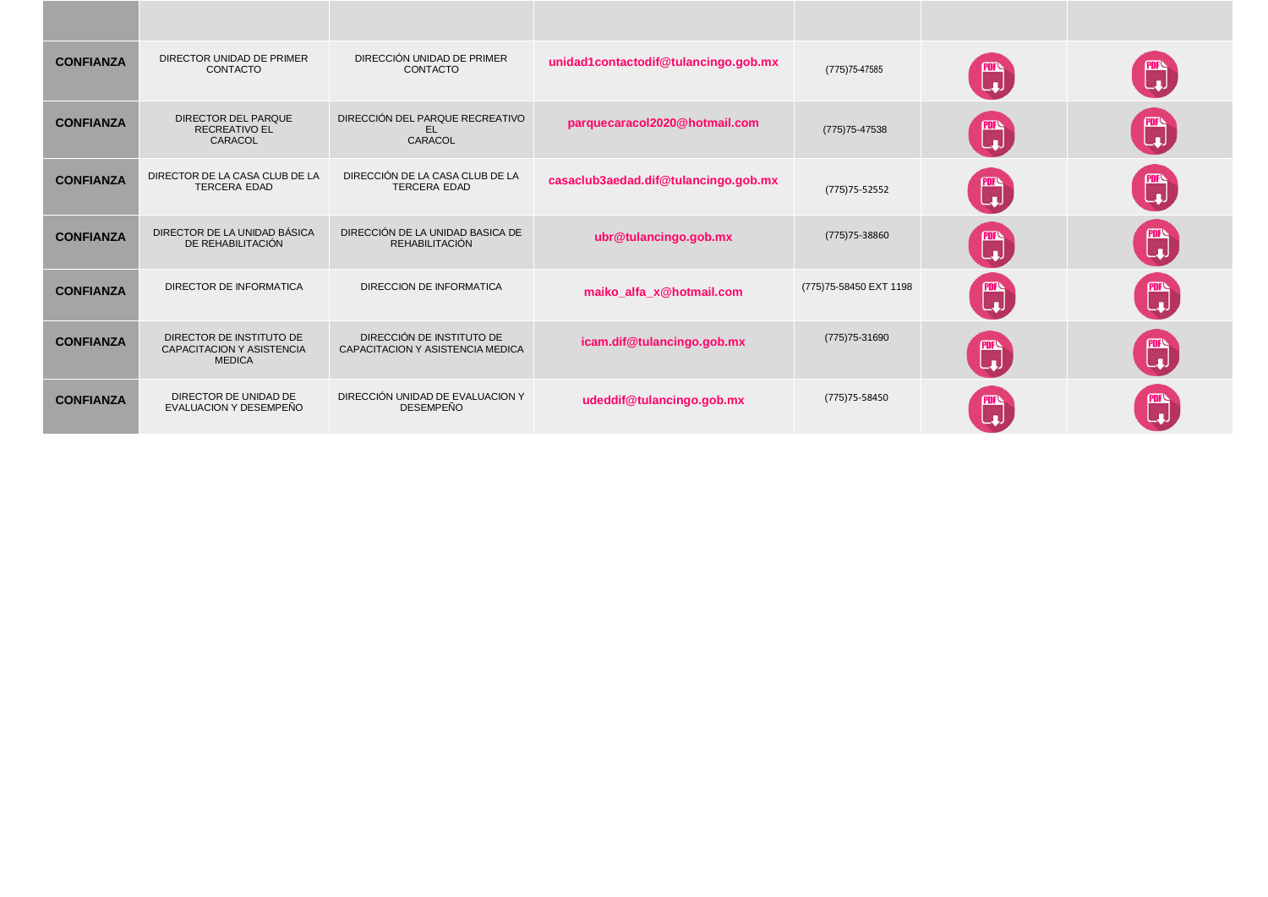| <b>CONFIANZA</b> | DIRECTOR UNIDAD DE PRIMER<br><b>CONTACTO</b>                                  | DIRECCIÓN UNIDAD DE PRIMER<br><b>CONTACTO</b>                 | unidad1contactodif@tulancingo.gob.mx | (775) 75-47585          | ▒           | Ü                                                       |
|------------------|-------------------------------------------------------------------------------|---------------------------------------------------------------|--------------------------------------|-------------------------|-------------|---------------------------------------------------------|
| <b>CONFIANZA</b> | <b>DIRECTOR DEL PARQUE</b><br><b>RECREATIVO EL</b><br>CARACOL                 | DIRECCIÓN DEL PARQUE RECREATIVO<br>EL.<br>CARACOL             | parquecaracol2020@hotmail.com        | (775) 75-47538          | ▒           | $\mathbb{C}$                                            |
| <b>CONFIANZA</b> | DIRECTOR DE LA CASA CLUB DE LA<br><b>TERCERA EDAD</b>                         | DIRECCIÓN DE LA CASA CLUB DE LA<br><b>TERCERA EDAD</b>        | casaclub3aedad.dif@tulancingo.gob.mx | $(775)75 - 52552$       | m.          | $\begin{bmatrix} \mathbf{m} \ \mathbf{u} \end{bmatrix}$ |
| <b>CONFIANZA</b> | DIRECTOR DE LA UNIDAD BÁSICA<br>DE REHABILITACIÓN                             | DIRECCIÓN DE LA UNIDAD BASICA DE<br><b>REHABILITACIÓN</b>     | ubr@tulancingo.gob.mx                | (775) 75-38860          | <b>PDFS</b> | $\begin{bmatrix} \text{PIF} \ \text{L} \ \end{bmatrix}$ |
| <b>CONFIANZA</b> | DIRECTOR DE INFORMATICA                                                       | DIRECCION DE INFORMATICA                                      | maiko_alfa_x@hotmail.com             | (775) 75-58450 EXT 1198 |             | t,                                                      |
| <b>CONFIANZA</b> | DIRECTOR DE INSTITUTO DE<br><b>CAPACITACION Y ASISTENCIA</b><br><b>MEDICA</b> | DIRECCIÓN DE INSTITUTO DE<br>CAPACITACION Y ASISTENCIA MEDICA | icam.dif@tulancingo.gob.mx           | (775) 75-31690          | <b>Pure</b> | nis<br>La                                               |
| <b>CONFIANZA</b> | DIRECTOR DE UNIDAD DE<br>EVALUACION Y DESEMPEÑO                               | DIRECCIÓN UNIDAD DE EVALUACION Y<br><b>DESEMPEÑO</b>          | udeddif@tulancingo.gob.mx            | (775) 75-58450          |             | œ                                                       |